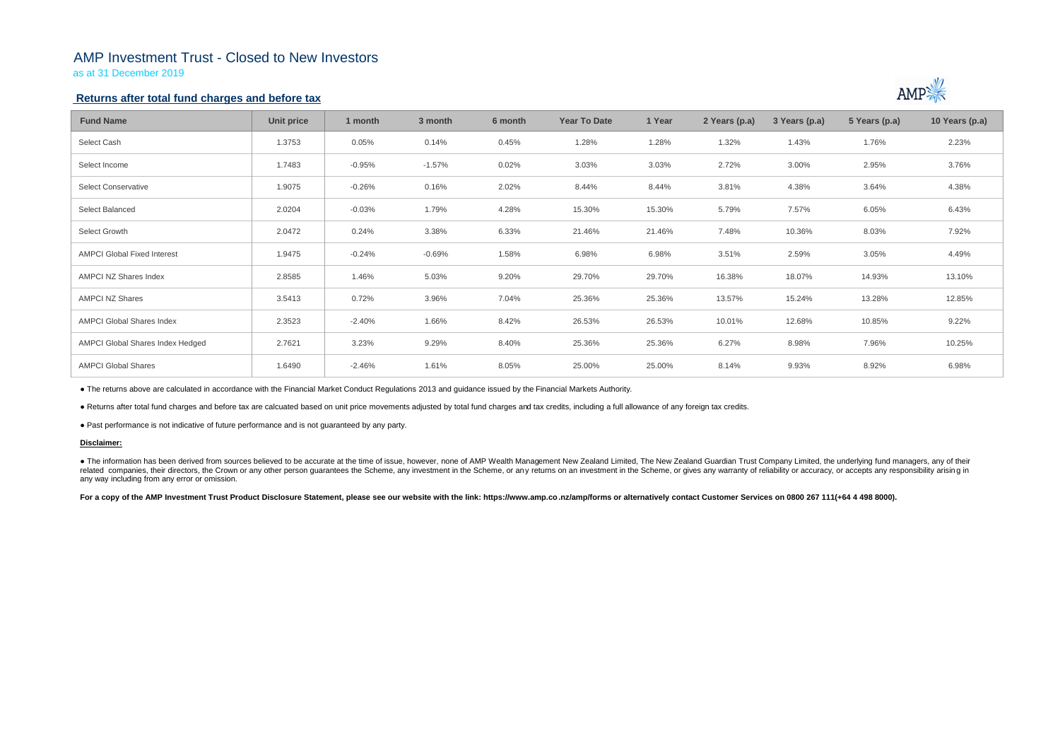## AMP Investment Trust - Closed to New Investors

as at 31 December 2019

## **Returns after total fund charges and before tax**

| <b>Fund Name</b>                   | Unit price | 1 month  | 3 month  | 6 month | <b>Year To Date</b> | 1 Year | 2 Years (p.a) | 3 Years (p.a) | 5 Years (p.a) | 10 Years (p.a) |
|------------------------------------|------------|----------|----------|---------|---------------------|--------|---------------|---------------|---------------|----------------|
| Select Cash                        | 1.3753     | 0.05%    | 0.14%    | 0.45%   | 1.28%               | 1.28%  | 1.32%         | 1.43%         | 1.76%         | 2.23%          |
| Select Income                      | 1.7483     | $-0.95%$ | $-1.57%$ | 0.02%   | 3.03%               | 3.03%  | 2.72%         | 3.00%         | 2.95%         | 3.76%          |
| <b>Select Conservative</b>         | 1.9075     | $-0.26%$ | 0.16%    | 2.02%   | 8.44%               | 8.44%  | 3.81%         | 4.38%         | 3.64%         | 4.38%          |
| Select Balanced                    | 2.0204     | $-0.03%$ | 1.79%    | 4.28%   | 15.30%              | 15.30% | 5.79%         | 7.57%         | 6.05%         | 6.43%          |
| Select Growth                      | 2.0472     | 0.24%    | 3.38%    | 6.33%   | 21.46%              | 21.46% | 7.48%         | 10.36%        | 8.03%         | 7.92%          |
| <b>AMPCI Global Fixed Interest</b> | 1.9475     | $-0.24%$ | $-0.69%$ | 1.58%   | 6.98%               | 6.98%  | 3.51%         | 2.59%         | 3.05%         | 4.49%          |
| AMPCI NZ Shares Index              | 2.8585     | 1.46%    | 5.03%    | 9.20%   | 29.70%              | 29.70% | 16.38%        | 18.07%        | 14.93%        | 13.10%         |
| <b>AMPCI NZ Shares</b>             | 3.5413     | 0.72%    | 3.96%    | 7.04%   | 25.36%              | 25.36% | 13.57%        | 15.24%        | 13.28%        | 12.85%         |
| <b>AMPCI Global Shares Index</b>   | 2.3523     | $-2.40%$ | 1.66%    | 8.42%   | 26.53%              | 26.53% | 10.01%        | 12.68%        | 10.85%        | 9.22%          |
| AMPCI Global Shares Index Hedged   | 2.7621     | 3.23%    | 9.29%    | 8.40%   | 25.36%              | 25.36% | 6.27%         | 8.98%         | 7.96%         | 10.25%         |
| <b>AMPCI Global Shares</b>         | 1.6490     | $-2.46%$ | 1.61%    | 8.05%   | 25.00%              | 25.00% | 8.14%         | 9.93%         | 8.92%         | 6.98%          |

• The information has been derived from sources believed to be accurate at the time of issue, however, none of AMP Wealth Management New Zealand Limited, The New Zealand Guardian Trust Company Limited, the underlying fund related companies, their directors, the Crown or any other person quarantees the Scheme, any investment in the Scheme, or any returns on an investment in the Scheme, or gives any warranty of reliability or accuracy, or acc any way including from any error or omission.

For a copy of the AMP Investment Trust Product Disclosure Statement, please see our website with the link: https://www.amp.co.nz/amp/forms or alternatively contact Customer Services on 0800 267 111(+64 4 498 8000).



● The returns above are calculated in accordance with the Financial Market Conduct Regulations 2013 and guidance issued by the Financial Markets Authority.

● Returns after total fund charges and before tax are calcuated based on unit price movements adjusted by total fund charges and tax credits, including a full allowance of any foreign tax credits.

● Past performance is not indicative of future performance and is not guaranteed by any party.

### **Disclaimer:**